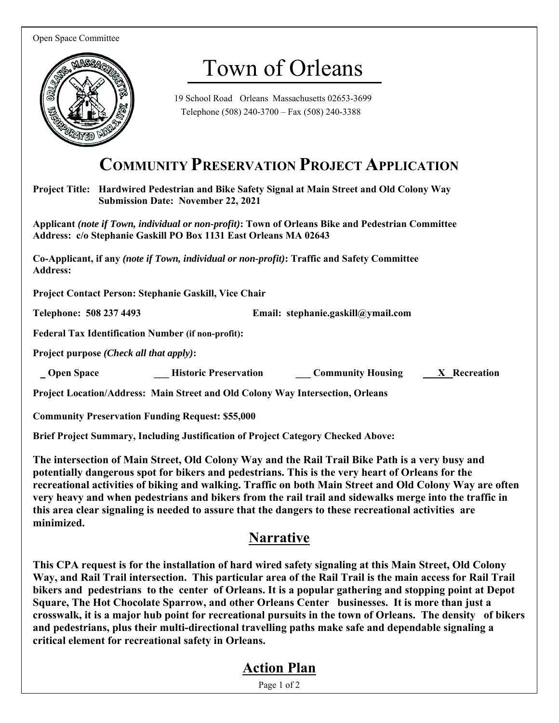Open Space Committee



# Town of Orleans

19 School Road Orleans Massachusetts 02653-3699 Telephone (508) 240-3700 – Fax (508) 240-3388

# **COMMUNITY PRESERVATION PROJECT APPLICATION**

**Project Title: Hardwired Pedestrian and Bike Safety Signal at Main Street and Old Colony Way Submission Date: November 22, 2021** 

**Applicant** *(note if Town, individual or non-profit)***: Town of Orleans Bike and Pedestrian Committee Address: c/o Stephanie Gaskill PO Box 1131 East Orleans MA 02643** 

**Co-Applicant, if any** *(note if Town, individual or non-profit)***: Traffic and Safety Committee Address:** 

**Project Contact Person: Stephanie Gaskill, Vice Chair** 

**Telephone: 508 237 4493 Email: stephanie.gaskill@ymail.com** 

**Federal Tax Identification Number (if non-profit):** 

**Project purpose** *(Check all that apply)***:** 

 **Community Historic Preservation Limitary Community Housing Limitary Recreation** 

**Project Location/Address: Main Street and Old Colony Way Intersection, Orleans** 

**Community Preservation Funding Request: \$55,000** 

**Brief Project Summary, Including Justification of Project Category Checked Above:** 

**The intersection of Main Street, Old Colony Way and the Rail Trail Bike Path is a very busy and potentially dangerous spot for bikers and pedestrians. This is the very heart of Orleans for the recreational activities of biking and walking. Traffic on both Main Street and Old Colony Way are often very heavy and when pedestrians and bikers from the rail trail and sidewalks merge into the traffic in this area clear signaling is needed to assure that the dangers to these recreational activities are minimized.** 

#### **Narrative**

**This CPA request is for the installation of hard wired safety signaling at this Main Street, Old Colony Way, and Rail Trail intersection. This particular area of the Rail Trail is the main access for Rail Trail bikers and pedestrians to the center of Orleans. It is a popular gathering and stopping point at Depot Square, The Hot Chocolate Sparrow, and other Orleans Center businesses. It is more than just a crosswalk, it is a major hub point for recreational pursuits in the town of Orleans. The density of bikers and pedestrians, plus their multi-directional travelling paths make safe and dependable signaling a critical element for recreational safety in Orleans.** 

#### **Action Plan**

Page 1 of 2